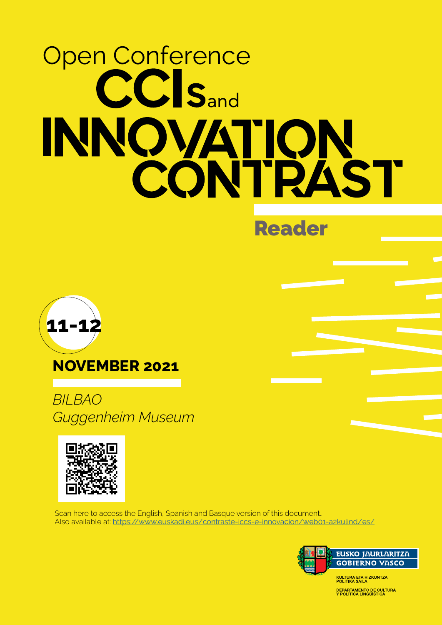# Open Conference CC<sub>Sand</sub> INNOVATION CONTRAST

Reader



### NOVEMBER 2021

*BILBAO Guggenheim Museum*



Scan here to access the English, Spanish and Basque version of this document.. Also available at: <https://www.euskadi.eus/contraste-iccs-e-innovacion/web01-a2kulind/es/>

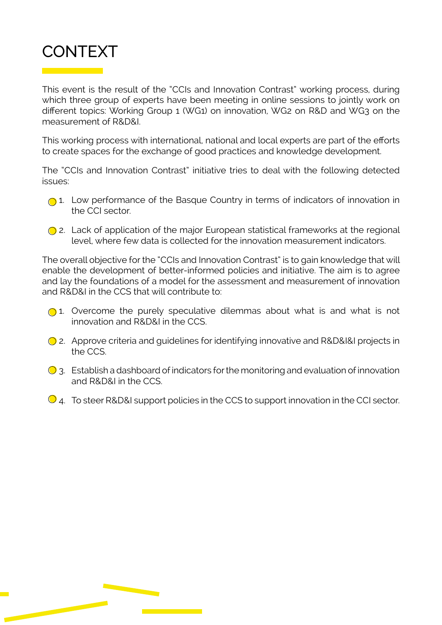

This event is the result of the "CCIs and Innovation Contrast" working process, during which three group of experts have been meeting in online sessions to jointly work on different topics: Working Group 1 (WG1) on innovation, WG2 on R&D and WG3 on the measurement of R&D&I.

This working process with international, national and local experts are part of the efforts to create spaces for the exchange of good practices and knowledge development.

The "CCIs and Innovation Contrast" initiative tries to deal with the following detected issues:

- 1. Low performance of the Basque Country in terms of indicators of innovation in the CCI sector.
- 2. Lack of application of the major European statistical frameworks at the regional level, where few data is collected for the innovation measurement indicators.

The overall objective for the "CCIs and Innovation Contrast" is to gain knowledge that will enable the development of better-informed policies and initiative. The aim is to agree and lay the foundations of a model for the assessment and measurement of innovation and R&D&I in the CCS that will contribute to:

- $\bigcirc$  1. Overcome the purely speculative dilemmas about what is and what is not innovation and R&D&I in the CCS.
- 2. Approve criteria and guidelines for identifying innovative and R&D&I&I projects in the CCS.
- $\bigcirc$  3. Establish a dashboard of indicators for the monitoring and evaluation of innovation and R&D&I in the CCS.
- $\bigcirc$  4. To steer R&D&I support policies in the CCS to support innovation in the CCI sector.

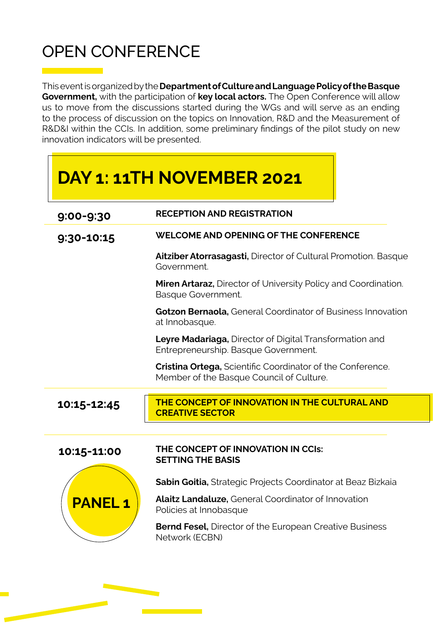## OPEN CONFERENCE

This event is organized by the Department of Culture and Language Policy of the Basque Government, with the participation of key local actors. The Open Conference will allow us to move from the discussions started during the WGs and will serve as an ending to the process of discussion on the topics on Innovation, R&D and the Measurement of R&D&I within the CCIs. In addition, some preliminary findings of the pilot study on new innovation indicators will be presented.

|               | DAY 1: 11TH NOVEMBER 2021                                                                              |
|---------------|--------------------------------------------------------------------------------------------------------|
| 9:00-9:30     | <b>RECEPTION AND REGISTRATION</b>                                                                      |
| 9:30-10:15    | <b>WELCOME AND OPENING OF THE CONFERENCE</b>                                                           |
|               | Aitziber Atorrasagasti, Director of Cultural Promotion. Basque<br>Government.                          |
|               | <b>Miren Artaraz, Director of University Policy and Coordination.</b><br>Basque Government.            |
|               | <b>Gotzon Bernaola, General Coordinator of Business Innovation</b><br>at Innobasque.                   |
|               | <b>Leyre Madariaga, Director of Digital Transformation and</b><br>Entrepreneurship. Basque Government. |
|               | Cristina Ortega, Scientific Coordinator of the Conference.<br>Member of the Basque Council of Culture. |
| 10:15-12:45   | THE CONCEPT OF INNOVATION IN THE CULTURAL AND<br><b>CREATIVE SECTOR</b>                                |
| 10:15-11:00   | THE CONCEPT OF INNOVATION IN CCIS:                                                                     |
|               | <b>SETTING THE BASIS</b>                                                                               |
|               | Sabin Goitia, Strategic Projects Coordinator at Beaz Bizkaia                                           |
| <b>PANEL1</b> | <b>Alaitz Landaluze, General Coordinator of Innovation</b><br>Policies at Innobasque                   |
|               | <b>Bernd Fesel, Director of the European Creative Business</b><br>Network (ECBN)                       |
|               |                                                                                                        |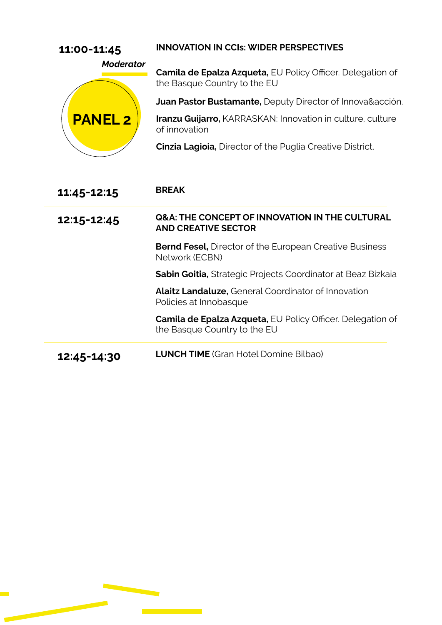| 11:00-11:45                        | <b>INNOVATION IN CCIS: WIDER PERSPECTIVES</b>                                                     |
|------------------------------------|---------------------------------------------------------------------------------------------------|
| <b>Moderator</b><br><b>PANEL 2</b> | <b>Camila de Epalza Azqueta, EU Policy Officer. Delegation of</b><br>the Basque Country to the EU |
|                                    | <b>Juan Pastor Bustamante, Deputy Director of Innova&amp;acción.</b>                              |
|                                    | Iranzu Guijarro, KARRASKAN: Innovation in culture, culture<br>of innovation                       |
|                                    | <b>Cinzia Lagioia, Director of the Puglia Creative District.</b>                                  |
| 11:45-12:15                        | <b>BREAK</b>                                                                                      |
|                                    |                                                                                                   |
| 12:15-12:45                        | <b>Q&amp;A: THE CONCEPT OF INNOVATION IN THE CULTURAL</b><br><b>AND CREATIVE SECTOR</b>           |
|                                    | <b>Bernd Fesel, Director of the European Creative Business</b><br>Network (ECBN)                  |
|                                    | Sabin Goitia, Strategic Projects Coordinator at Beaz Bizkaia                                      |
|                                    | <b>Alaitz Landaluze, General Coordinator of Innovation</b><br>Policies at Innobasque              |
|                                    | <b>Camila de Epalza Azqueta, EU Policy Officer. Delegation of</b><br>the Basque Country to the EU |

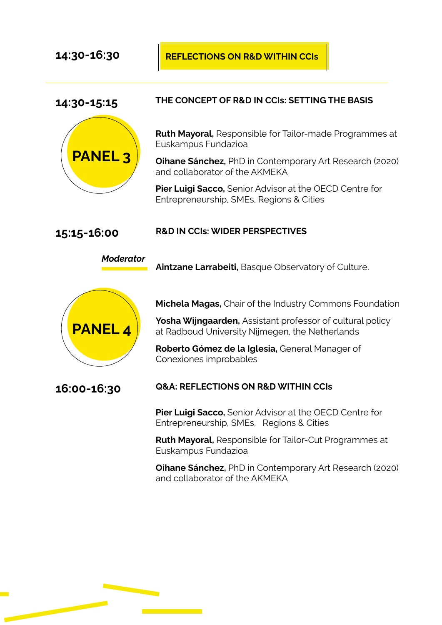#### 14:30-16:30 **REFLECTIONS ON R&D WITHIN CCIS**

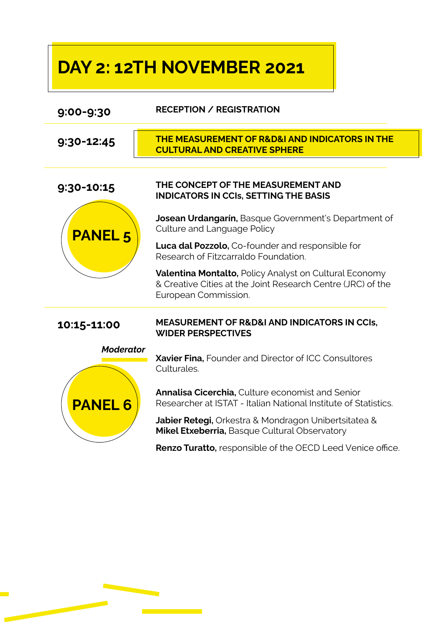# DAY 2: 12TH NOVEMBER 2021

| 9:00-9:30        | <b>RECEPTION / REGISTRATION</b>                                                                                                                      |
|------------------|------------------------------------------------------------------------------------------------------------------------------------------------------|
| 9:30-12:45       | <b>THE MEASUREMENT OF R&amp;D&amp;I AND INDICATORS IN THE</b><br><b>CULTURAL AND CREATIVE SPHERE</b>                                                 |
| 9:30-10:15       | THE CONCEPT OF THE MEASUREMENT AND<br><b>INDICATORS IN CCIS, SETTING THE BASIS</b>                                                                   |
| <b>PANEL 5</b>   | Josean Urdangarin, Basque Government's Department of<br>Culture and Language Policy                                                                  |
|                  | <b>Luca dal Pozzolo,</b> Co-founder and responsible for<br>Research of Fitzcarraldo Foundation.                                                      |
|                  | <b>Valentina Montalto, Policy Analyst on Cultural Economy</b><br>& Creative Cities at the Joint Research Centre (JRC) of the<br>European Commission. |
| 10:15-11:00      | <b>MEASUREMENT OF R&amp;D&amp;I AND INDICATORS IN CCIS,</b><br><b>WIDER PERSPECTIVES</b>                                                             |
| <b>Moderator</b> | Xavier Fina, Founder and Director of ICC Consultores<br>Culturales.                                                                                  |
| <b>PANEL 6</b>   | Annalisa Cicerchia, Culture economist and Senior<br>Researcher at ISTAT - Italian National Institute of Statistics.                                  |
|                  | Jabier Retegi, Orkestra & Mondragon Unibertsitatea &<br>Mikel Etxeberria, Basque Cultural Observatory                                                |
|                  | <b>Renzo Turatto, responsible of the OECD Leed Venice office.</b>                                                                                    |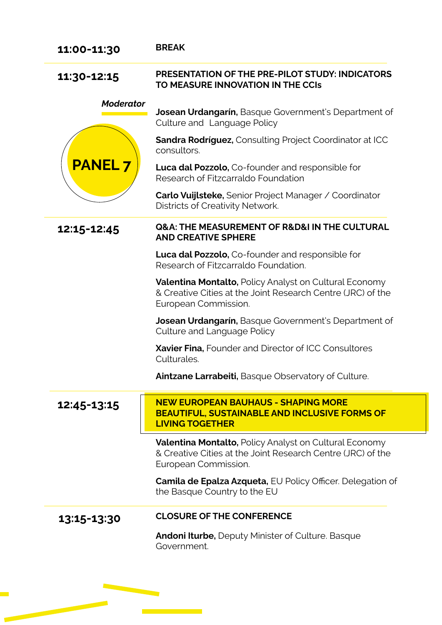| 11:00-11:30      | <b>BREAK</b>                                                                                                                                         |
|------------------|------------------------------------------------------------------------------------------------------------------------------------------------------|
| 11:30-12:15      | <b>PRESENTATION OF THE PRE-PILOT STUDY: INDICATORS</b><br>TO MEASURE INNOVATION IN THE CCIS                                                          |
| <b>Moderator</b> | <b>Josean Urdangarin, Basque Government's Department of</b><br>Culture and Language Policy                                                           |
|                  | <b>Sandra Rodríguez, Consulting Project Coordinator at ICC</b><br>consultors.                                                                        |
| <b>PANEL7</b>    | <b>Luca dal Pozzolo,</b> Co-founder and responsible for<br>Research of Fitzcarraldo Foundation                                                       |
|                  | <b>Carlo Vuijlsteke, Senior Project Manager / Coordinator</b><br>Districts of Creativity Network.                                                    |
| 12:15-12:45      | <b>Q&amp;A: THE MEASUREMENT OF R&amp;D&amp;I IN THE CULTURAL</b><br><b>AND CREATIVE SPHERE</b>                                                       |
|                  | <b>Luca dal Pozzolo,</b> Co-founder and responsible for<br>Research of Fitzcarraldo Foundation.                                                      |
|                  | <b>Valentina Montalto, Policy Analyst on Cultural Economy</b><br>& Creative Cities at the Joint Research Centre (JRC) of the<br>European Commission. |
|                  | <b>Josean Urdangarin, Basque Government's Department of</b><br>Culture and Language Policy                                                           |
|                  | Xavier Fina, Founder and Director of ICC Consultores<br>Culturales.                                                                                  |
|                  | Aintzane Larrabeiti, Basque Observatory of Culture.                                                                                                  |
| 12:45-13:15      | <b>NEW EUROPEAN BAUHAUS - SHAPING MORE</b><br><b>BEAUTIFUL, SUSTAINABLE AND INCLUSIVE FORMS OF</b><br><b>LIVING TOGETHER</b>                         |
|                  | <b>Valentina Montalto, Policy Analyst on Cultural Economy</b><br>& Creative Cities at the Joint Research Centre (JRC) of the<br>European Commission. |
|                  | <b>Camila de Epalza Azqueta, EU Policy Officer. Delegation of</b><br>the Basque Country to the EU                                                    |
| 13:15-13:30      | <b>CLOSURE OF THE CONFERENCE</b>                                                                                                                     |
|                  | <b>Andoni Iturbe, Deputy Minister of Culture. Basque</b><br>Government.                                                                              |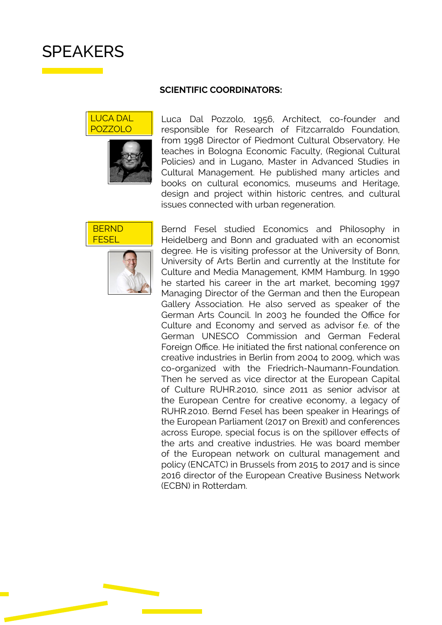## **SPEAKERS**

#### SCIENTIFIC COORDINATORS:





Luca Dal Pozzolo, 1956, Architect, co-founder and responsible for Research of Fitzcarraldo Foundation, from 1998 Director of Piedmont Cultural Observatory. He teaches in Bologna Economic Faculty, (Regional Cultural Policies) and in Lugano, Master in Advanced Studies in Cultural Management. He published many articles and books on cultural economics, museums and Heritage, design and project within historic centres, and cultural issues connected with urban regeneration.





Bernd Fesel studied Economics and Philosophy in Heidelberg and Bonn and graduated with an economist degree. He is visiting professor at the University of Bonn, University of Arts Berlin and currently at the Institute for Culture and Media Management, KMM Hamburg. In 1990 he started his career in the art market, becoming 1997 Managing Director of the German and then the European Gallery Association. He also served as speaker of the German Arts Council. In 2003 he founded the Office for Culture and Economy and served as advisor f.e. of the German UNESCO Commission and German Federal Foreign Office. He initiated the first national conference on creative industries in Berlin from 2004 to 2009, which was co-organized with the Friedrich-Naumann-Foundation. Then he served as vice director at the European Capital of Culture RUHR.2010, since 2011 as senior advisor at the European Centre for creative economy, a legacy of RUHR.2010. Bernd Fesel has been speaker in Hearings of the European Parliament (2017 on Brexit) and conferences across Europe, special focus is on the spillover effects of the arts and creative industries. He was board member of the European network on cultural management and policy (ENCATC) in Brussels from 2015 to 2017 and is since 2016 director of the European Creative Business Network (ECBN) in Rotterdam.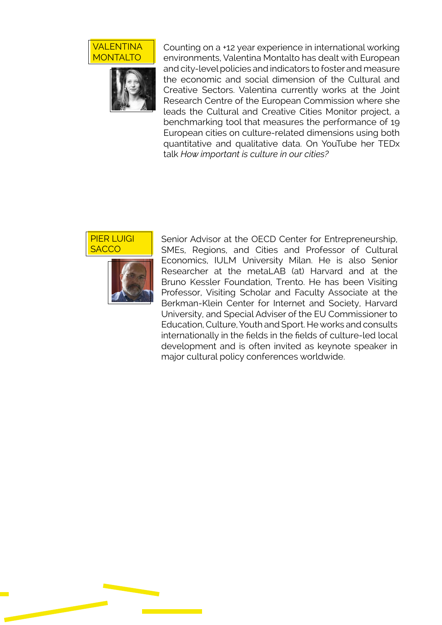



Counting on a +12 year experience in international working environments, Valentina Montalto has dealt with European and city-level policies and indicators to foster and measure the economic and social dimension of the Cultural and Creative Sectors. Valentina currently works at the Joint Research Centre of the European Commission where she leads the Cultural and Creative Cities Monitor project, a benchmarking tool that measures the performance of 19 European cities on culture-related dimensions using both quantitative and qualitative data. On YouTube her TEDx talk *How important is culture in our cities?*





Senior Advisor at the OECD Center for Entrepreneurship, SMEs, Regions, and Cities and Professor of Cultural Economics, IULM University Milan. He is also Senior Researcher at the metaLAB (at) Harvard and at the Bruno Kessler Foundation, Trento. He has been Visiting Professor, Visiting Scholar and Faculty Associate at the Berkman-Klein Center for Internet and Society, Harvard University, and Special Adviser of the EU Commissioner to Education, Culture, Youth and Sport. He works and consults internationally in the fields in the fields of culture-led local development and is often invited as keynote speaker in major cultural policy conferences worldwide.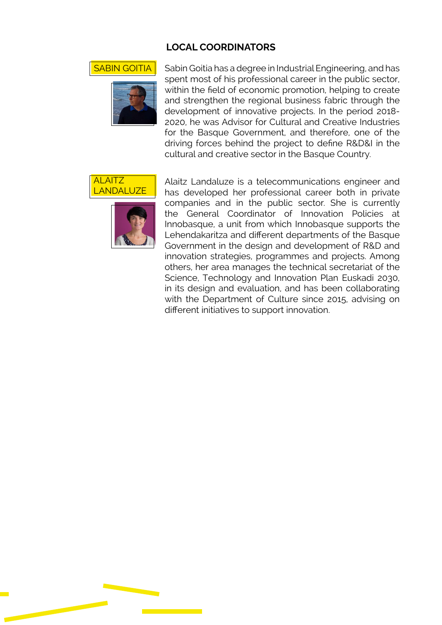#### LOCAL COORDINATORS



**SABIN GOITIA** Sabin Goitia has a degree in Industrial Engineering, and has spent most of his professional career in the public sector, within the field of economic promotion, helping to create and strengthen the regional business fabric through the development of innovative projects. In the period 2018- 2020, he was Advisor for Cultural and Creative Industries for the Basque Government, and therefore, one of the driving forces behind the project to define R&D&I in the cultural and creative sector in the Basque Country.





Alaitz Landaluze is a telecommunications engineer and has developed her professional career both in private companies and in the public sector. She is currently the General Coordinator of Innovation Policies at Innobasque, a unit from which Innobasque supports the Lehendakaritza and different departments of the Basque Government in the design and development of R&D and innovation strategies, programmes and projects. Among others, her area manages the technical secretariat of the Science, Technology and Innovation Plan Euskadi 2030, in its design and evaluation, and has been collaborating with the Department of Culture since 2015, advising on different initiatives to support innovation.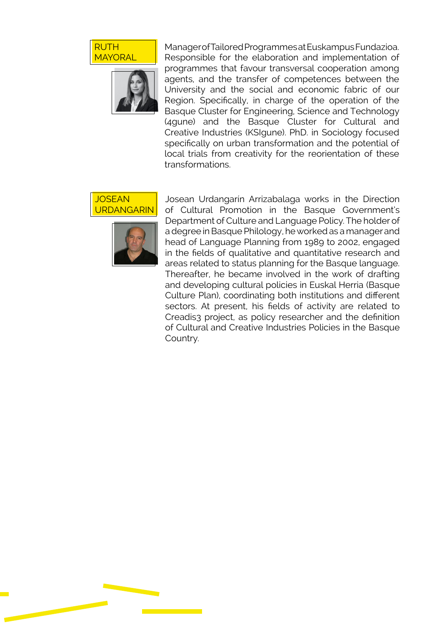RUTH **MAYORAL** 



Manager of Tailored Programmes at Euskampus Fundazioa. Responsible for the elaboration and implementation of programmes that favour transversal cooperation among agents, and the transfer of competences between the University and the social and economic fabric of our Region. Specifically, in charge of the operation of the Basque Cluster for Engineering, Science and Technology (4gune) and the Basque Cluster for Cultural and Creative Industries (KSIgune). PhD. in Sociology focused specifically on urban transformation and the potential of local trials from creativity for the reorientation of these transformations.





Josean Urdangarín Arrizabalaga works in the Direction of Cultural Promotion in the Basque Government's Department of Culture and Language Policy. The holder of a degree in Basque Philology, he worked as a manager and head of Language Planning from 1989 to 2002, engaged in the fields of qualitative and quantitative research and areas related to status planning for the Basque language. Thereafter, he became involved in the work of drafting and developing cultural policies in Euskal Herria (Basque Culture Plan), coordinating both institutions and different sectors. At present, his fields of activity are related to Creadis3 project, as policy researcher and the definition of Cultural and Creative Industries Policies in the Basque Country.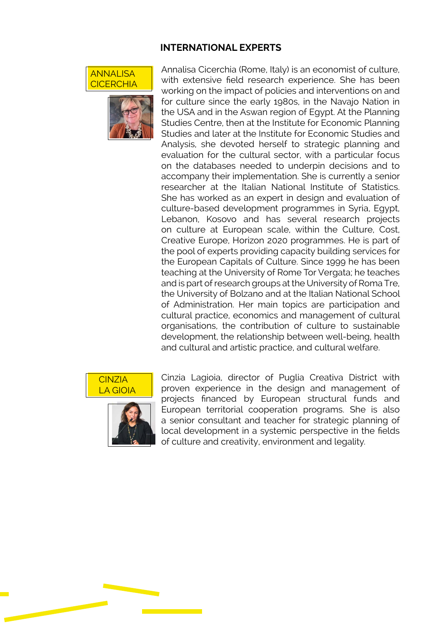#### INTERNATIONAL EXPERTS





Annalisa Cicerchia (Rome, Italy) is an economist of culture, with extensive field research experience. She has been working on the impact of policies and interventions on and for culture since the early 1980s, in the Navajo Nation in the USA and in the Aswan region of Egypt. At the Planning Studies Centre, then at the Institute for Economic Planning Studies and later at the Institute for Economic Studies and Analysis, she devoted herself to strategic planning and evaluation for the cultural sector, with a particular focus on the databases needed to underpin decisions and to accompany their implementation. She is currently a senior researcher at the Italian National Institute of Statistics. She has worked as an expert in design and evaluation of culture-based development programmes in Syria, Egypt, Lebanon, Kosovo and has several research projects on culture at European scale, within the Culture, Cost, Creative Europe, Horizon 2020 programmes. He is part of the pool of experts providing capacity building services for the European Capitals of Culture. Since 1999 he has been teaching at the University of Rome Tor Vergata; he teaches and is part of research groups at the University of Roma Tre, the University of Bolzano and at the Italian National School of Administration. Her main topics are participation and cultural practice, economics and management of cultural organisations, the contribution of culture to sustainable development, the relationship between well-being, health and cultural and artistic practice, and cultural welfare.





Cinzia Lagioia, director of Puglia Creativa District with proven experience in the design and management of projects financed by European structural funds and European territorial cooperation programs. She is also a senior consultant and teacher for strategic planning of local development in a systemic perspective in the fields of culture and creativity, environment and legality.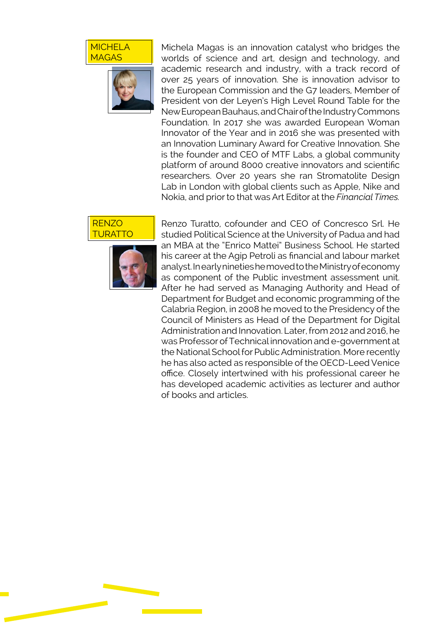#### **MICHELA** MAGAS



Michela Magas is an innovation catalyst who bridges the worlds of science and art, design and technology, and academic research and industry, with a track record of over 25 years of innovation. She is innovation advisor to the European Commission and the G7 leaders, Member of President von der Leyen's High Level Round Table for the New European Bauhaus, and Chair of the Industry Commons Foundation. In 2017 she was awarded European Woman Innovator of the Year and in 2016 she was presented with an Innovation Luminary Award for Creative Innovation. She is the founder and CEO of MTF Labs, a global community platform of around 8000 creative innovators and scientific researchers. Over 20 years she ran Stromatolite Design Lab in London with global clients such as Apple, Nike and Nokia, and prior to that was Art Editor at the *Financial Times.* 





Renzo Turatto, cofounder and CEO of Concresco Srl. He studied Political Science at the University of Padua and had an MBA at the "Enrico Mattei" Business School. He started his career at the Agip Petroli as financial and labour market analyst. In early nineties he moved to the Ministry of economy as component of the Public investment assessment unit. After he had served as Managing Authority and Head of Department for Budget and economic programming of the Calabria Region, in 2008 he moved to the Presidency of the Council of Ministers as Head of the Department for Digital Administration and Innovation. Later, from 2012 and 2016, he was Professor of Technical innovation and e-government at the National School for Public Administration. More recently he has also acted as responsible of the OECD-Leed Venice office. Closely intertwined with his professional career he has developed academic activities as lecturer and author of books and articles.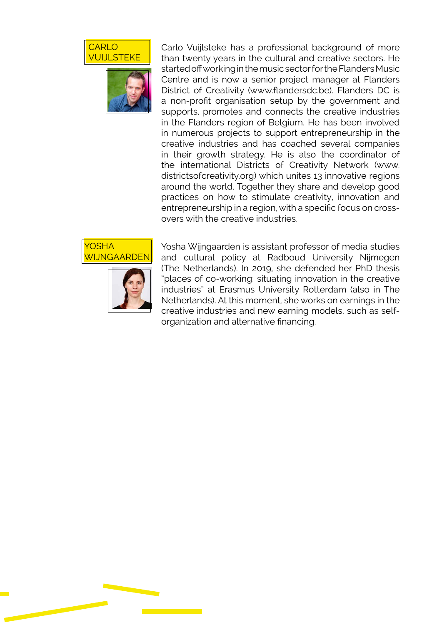



Carlo Vuijlsteke has a professional background of more than twenty years in the cultural and creative sectors. He started off working in the music sector for the Flanders Music Centre and is now a senior project manager at Flanders District of Creativity (www.flandersdc.be). Flanders DC is a non-profit organisation setup by the government and supports, promotes and connects the creative industries in the Flanders region of Belgium. He has been involved in numerous projects to support entrepreneurship in the creative industries and has coached several companies in their growth strategy. He is also the coordinator of the international Districts of Creativity Network (www. districtsofcreativity.org) which unites 13 innovative regions around the world. Together they share and develop good practices on how to stimulate creativity, innovation and entrepreneurship in a region, with a specific focus on crossovers with the creative industries.



Yosha Wijngaarden is assistant professor of media studies and cultural policy at Radboud University Nijmegen (The Netherlands). In 2019, she defended her PhD thesis "places of co-working: situating innovation in the creative industries" at Erasmus University Rotterdam (also in The Netherlands). At this moment, she works on earnings in the creative industries and new earning models, such as selforganization and alternative financing.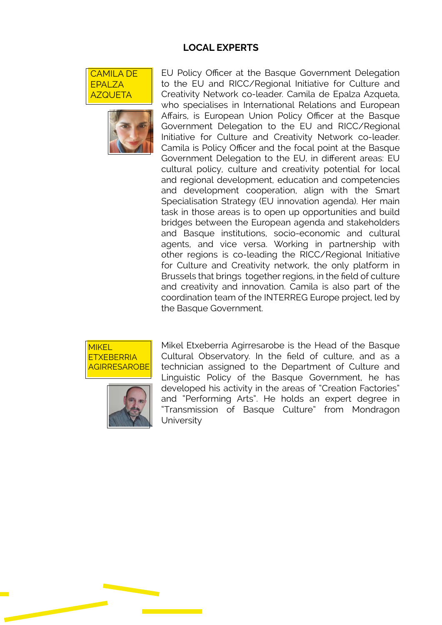#### LOCAL EXPERTS





EU Policy Officer at the Basque Government Delegation to the EU and RICC/Regional Initiative for Culture and Creativity Network co-leader. Camila de Epalza Azqueta, who specialises in International Relations and European Affairs, is European Union Policy Officer at the Basque Government Delegation to the EU and RICC/Regional Initiative for Culture and Creativity Network co-leader. Camila is Policy Officer and the focal point at the Basque Government Delegation to the EU, in different areas: EU cultural policy, culture and creativity potential for local and regional development, education and competencies and development cooperation, align with the Smart Specialisation Strategy (EU innovation agenda). Her main task in those areas is to open up opportunities and build bridges between the European agenda and stakeholders and Basque institutions, socio-economic and cultural agents, and vice versa. Working in partnership with other regions is co-leading the RICC/Regional Initiative for Culture and Creativity network, the only platform in Brussels that brings together regions, in the field of culture and creativity and innovation. Camila is also part of the coordination team of the INTERREG Europe project, led by the Basque Government.





Mikel Etxeberria Agirresarobe is the Head of the Basque Cultural Observatory. In the field of culture, and as a technician assigned to the Department of Culture and Linguistic Policy of the Basque Government, he has developed his activity in the areas of "Creation Factories" and "Performing Arts". He holds an expert degree in "Transmission of Basque Culture" from Mondragon University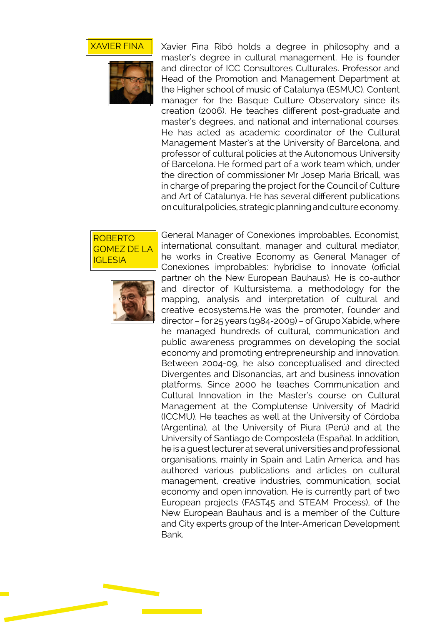



Xavier Fina Ribó holds a degree in philosophy and a master's degree in cultural management. He is founder and director of ICC Consultores Culturales. Professor and Head of the Promotion and Management Department at the Higher school of music of Catalunya (ESMUC). Content manager for the Basque Culture Observatory since its creation (2006). He teaches different post-graduate and master's degrees, and national and international courses. He has acted as academic coordinator of the Cultural Management Master's at the University of Barcelona, and professor of cultural policies at the Autonomous University of Barcelona. He formed part of a work team which, under the direction of commissioner Mr Josep Maria Bricall, was in charge of preparing the project for the Council of Culture and Art of Catalunya. He has several different publications on cultural policies, strategic planning and culture economy.





General Manager of Conexiones improbables. Economist, international consultant, manager and cultural mediator, he works in Creative Economy as General Manager of Conexiones improbables: hybridise to innovate (official partner oh the New European Bauhaus). He is co-author and director of Kultursistema, a methodology for the mapping, analysis and interpretation of cultural and creative ecosystems.He was the promoter, founder and director – for 25 years (1984-2009) – of Grupo Xabide, where he managed hundreds of cultural, communication and public awareness programmes on developing the social economy and promoting entrepreneurship and innovation. Between 2004-09, he also conceptualised and directed Divergentes and Disonancias, art and business innovation platforms. Since 2000 he teaches Communication and Cultural Innovation in the Master's course on Cultural Management at the Complutense University of Madrid (ICCMU). He teaches as well at the University of Córdoba (Argentina), at the University of Piura (Perú) and at the University of Santiago de Compostela (España). In addition, he is a guest lecturer at several universities and professional organisations, mainly in Spain and Latin America, and has authored various publications and articles on cultural management, creative industries, communication, social economy and open innovation. He is currently part of two European projects (FAST45 and STEAM Process), of the New European Bauhaus and is a member of the Culture and City experts group of the Inter-American Development Bank.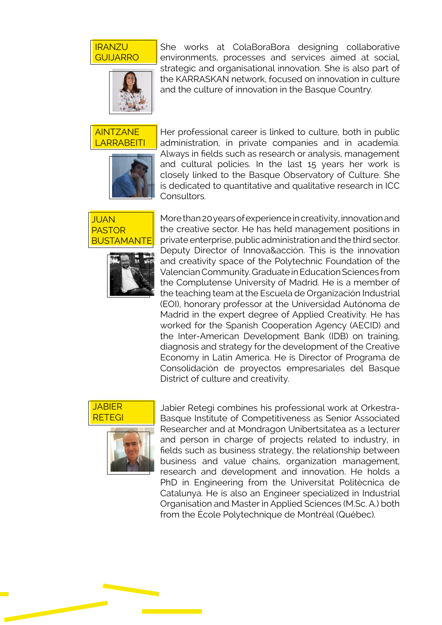#### IRANZU GUIJARRO



She works at ColaBoraBora designing collaborative environments, processes and services aimed at social, strategic and organisational innovation. She is also part of the KARRASKAN network, focused on innovation in culture and the culture of innovation in the Basque Country.

AINTZANE **ARRABEITI** 



Her professional career is linked to culture, both in public administration, in private companies and in academia. Always in fields such as research or analysis, management and cultural policies. In the last 15 years her work is closely linked to the Basque Observatory of Culture. She is dedicated to quantitative and qualitative research in ICC Consultors.





More than 20 years of experience in creativity, innovation and the creative sector. He has held management positions in private enterprise, public administration and the third sector. Deputy Director of Innova&acción. This is the innovation and creativity space of the Polytechnic Foundation of the Valencian Community. Graduate in Education Sciences from the Complutense University of Madrid. He is a member of the teaching team at the Escuela de Organización Industrial (EOI), honorary professor at the Universidad Autónoma de Madrid in the expert degree of Applied Creativity. He has worked for the Spanish Cooperation Agency (AECID) and the Inter-American Development Bank (IDB) on training, diagnosis and strategy for the development of the Creative Economy in Latin America. He is Director of Programa de Consolidación de proyectos empresariales del Basque District of culture and creativity.





Jabier Retegi combines his professional work at Orkestra-Basque Institute of Competitiveness as Senior Associated Researcher and at Mondragon Unibertsitatea as a lecturer and person in charge of projects related to industry, in fields such as business strategy, the relationship between business and value chains, organization management, research and development and innovation. He holds a PhD in Engineering from the Universitat Politècnica de Catalunya. He is also an Engineer specialized in Industrial Organisation and Master in Applied Sciences (M.Sc. A.) both from the École Polytechnique de Montréal (Québec).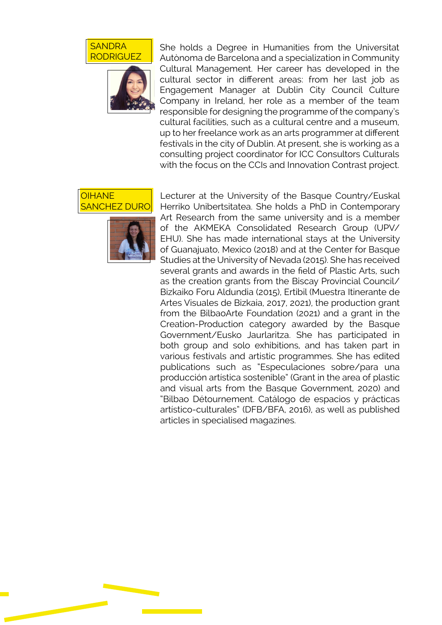



She holds a Degree in Humanities from the Universitat Autònoma de Barcelona and a specialization in Community Cultural Management. Her career has developed in the cultural sector in different areas: from her last job as Engagement Manager at Dublin City Council Culture Company in Ireland, her role as a member of the team responsible for designing the programme of the company's cultural facilities, such as a cultural centre and a museum, up to her freelance work as an arts programmer at different festivals in the city of Dublin. At present, she is working as a consulting project coordinator for ICC Consultors Culturals with the focus on the CCIs and Innovation Contrast project.





Lecturer at the University of the Basque Country/Euskal Herriko Unibertsitatea. She holds a PhD in Contemporary Art Research from the same university and is a member of the AKMEKA Consolidated Research Group (UPV/ EHU). She has made international stays at the University of Guanajuato, Mexico (2018) and at the Center for Basque Studies at the University of Nevada (2015). She has received several grants and awards in the field of Plastic Arts, such as the creation grants from the Biscay Provincial Council/ Bizkaiko Foru Aldundia (2015), Ertibil (Muestra Itinerante de Artes Visuales de Bizkaia, 2017, 2021), the production grant from the BilbaoArte Foundation (2021) and a grant in the Creation-Production category awarded by the Basque Government/Eusko Jaurlaritza. She has participated in both group and solo exhibitions, and has taken part in various festivals and artistic programmes. She has edited publications such as "Especulaciones sobre/para una producción artística sostenible" (Grant in the area of plastic and visual arts from the Basque Government, 2020) and "Bilbao Détournement. Catálogo de espacios y prácticas artístico-culturales" (DFB/BFA, 2016), as well as published articles in specialised magazines.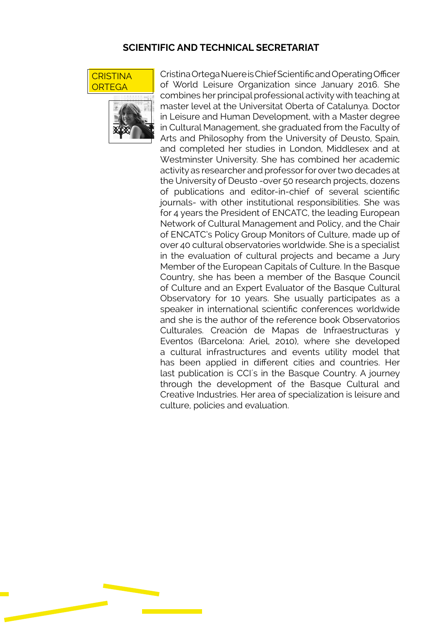#### SCIENTIFIC AND TECHNICAL SECRETARIAT





Cristina Ortega Nuere is Chief Scientific and Operating Officer of World Leisure Organization since January 2016. She combines her principal professional activity with teaching at master level at the Universitat Oberta of Catalunya. Doctor in Leisure and Human Development, with a Master degree in Cultural Management, she graduated from the Faculty of Arts and Philosophy from the University of Deusto, Spain, and completed her studies in London, Middlesex and at Westminster University. She has combined her academic activity as researcher and professor for over two decades at the University of Deusto -over 50 research projects, dozens of publications and editor-in-chief of several scientific journals- with other institutional responsibilities. She was for 4 years the President of ENCATC, the leading European Network of Cultural Management and Policy, and the Chair of ENCATC's Policy Group Monitors of Culture, made up of over 40 cultural observatories worldwide. She is a specialist in the evaluation of cultural projects and became a Jury Member of the European Capitals of Culture. In the Basque Country, she has been a member of the Basque Council of Culture and an Expert Evaluator of the Basque Cultural Observatory for 10 years. She usually participates as a speaker in international scientific conferences worldwide and she is the author of the reference book Observatorios Culturales. Creación de Mapas de lnfraestructuras y Eventos (Barcelona: Ariel, 2010), where she developed a cultural infrastructures and events utility model that has been applied in different cities and countries. Her last publication is CCI´s in the Basque Country. A journey through the development of the Basque Cultural and Creative Industries. Her area of specialization is leisure and culture, policies and evaluation.

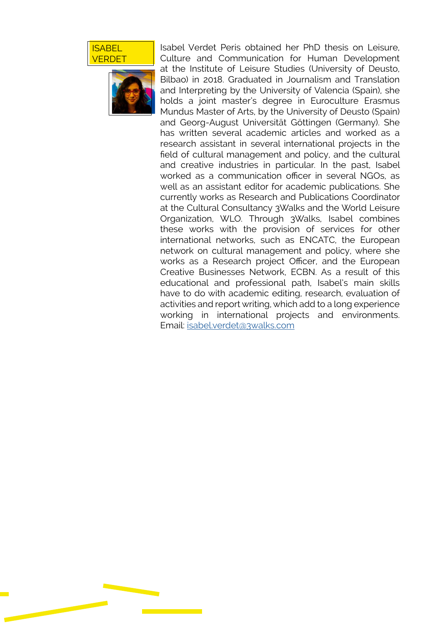#### **ISABEL VERDET**



Isabel Verdet Peris obtained her PhD thesis on Leisure, Culture and Communication for Human Development at the Institute of Leisure Studies (University of Deusto, Bilbao) in 2018. Graduated in Journalism and Translation and Interpreting by the University of Valencia (Spain), she holds a joint master's degree in Euroculture Erasmus Mundus Master of Arts, by the University of Deusto (Spain) and Georg-August Universität Göttingen (Germany). She has written several academic articles and worked as a research assistant in several international projects in the field of cultural management and policy, and the cultural and creative industries in particular. In the past, Isabel worked as a communication officer in several NGOs, as well as an assistant editor for academic publications. She currently works as Research and Publications Coordinator at the Cultural Consultancy 3Walks and the World Leisure Organization, WLO. Through 3Walks, Isabel combines these works with the provision of services for other international networks, such as ENCATC, the European network on cultural management and policy, where she works as a Research project Officer, and the European Creative Businesses Network, ECBN. As a result of this educational and professional path, Isabel's main skills have to do with academic editing, research, evaluation of activities and report writing, which add to a long experience working in international projects and environments. Email: [isabel.verdet@3walks.com](mailto:isabel.verdet%403walks.com?subject=)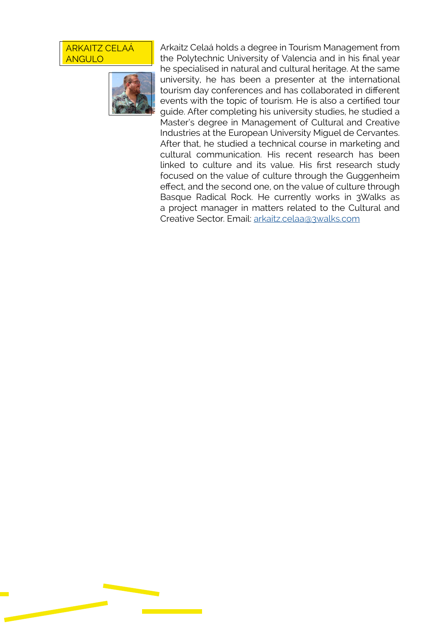#### ARKAITZ CELAÁ ANGULO



Arkaitz Celaá holds a degree in Tourism Management from the Polytechnic University of Valencia and in his final year he specialised in natural and cultural heritage. At the same university, he has been a presenter at the international tourism day conferences and has collaborated in different events with the topic of tourism. He is also a certified tour guide. After completing his university studies, he studied a Master's degree in Management of Cultural and Creative Industries at the European University Miguel de Cervantes. After that, he studied a technical course in marketing and cultural communication. His recent research has been linked to culture and its value. His first research study focused on the value of culture through the Guggenheim effect, and the second one, on the value of culture through Basque Radical Rock. He currently works in 3Walks as a project manager in matters related to the Cultural and Creative Sector. Email: [arkaitz.celaa@3walks.com](mailto:arkaitz.celaa%403walks.com?subject=)